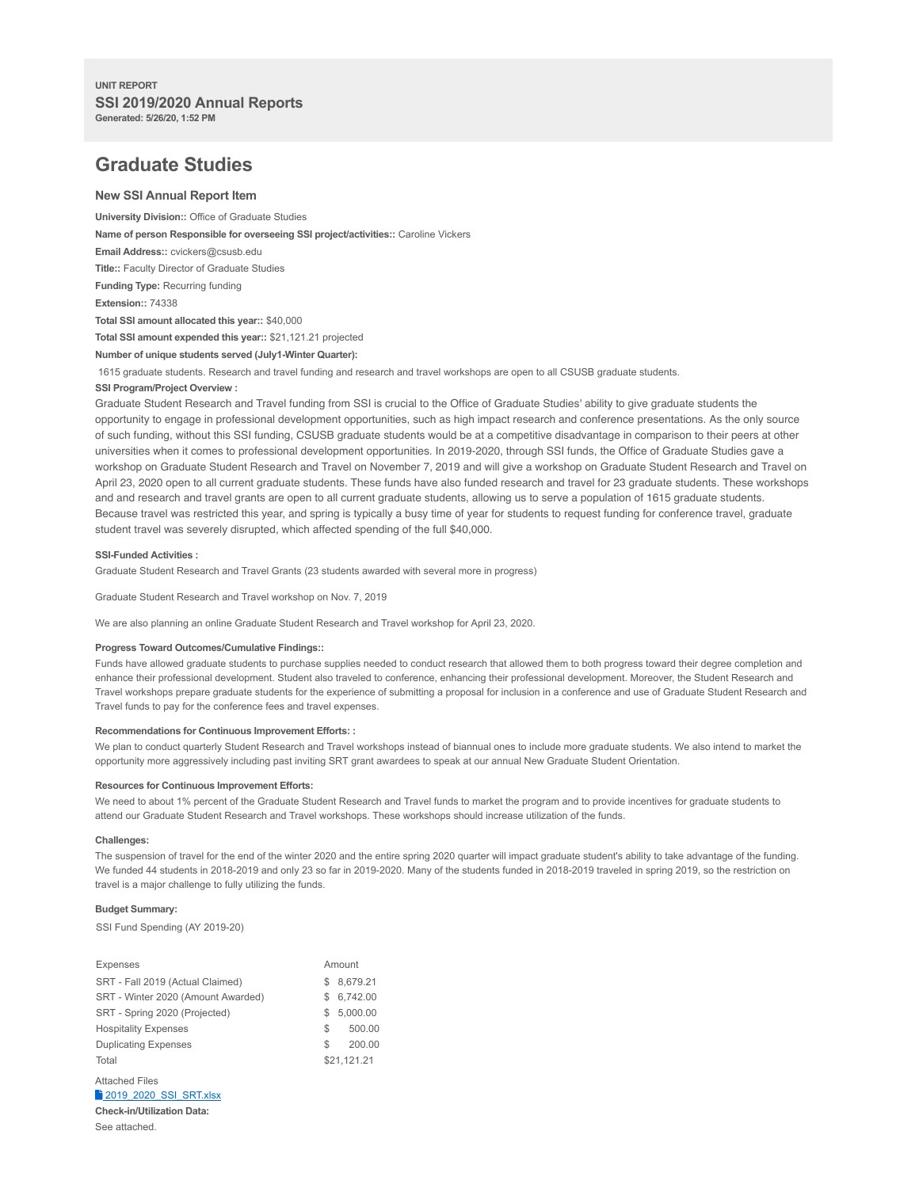# **Graduate Studies**

## **New SSI Annual Report Item**

**University Division::** Office of Graduate Studies

**Name of person Responsible for overseeing SSI project/activities::** Caroline Vickers

**Email Address::** cvickers@csusb.edu

**Title::** Faculty Director of Graduate Studies

**Funding Type:** Recurring funding

**Extension::** 74338

**Total SSI amount allocated this year::** \$40,000

**Total SSI amount expended this year::** \$21,121.21 projected

**Number of unique students served (July1-Winter Quarter):**

1615 graduate students. Research and travel funding and research and travel workshops are open to all CSUSB graduate students.

#### **SSI Program/Project Overview :**

Graduate Student Research and Travel funding from SSI is crucial to the Office of Graduate Studies' ability to give graduate students the opportunity to engage in professional development opportunities, such as high impact research and conference presentations. As the only source of such funding, without this SSI funding, CSUSB graduate students would be at a competitive disadvantage in comparison to their peers at other universities when it comes to professional development opportunities. In 2019-2020, through SSI funds, the Office of Graduate Studies gave a workshop on Graduate Student Research and Travel on November 7, 2019 and will give a workshop on Graduate Student Research and Travel on April 23, 2020 open to all current graduate students. These funds have also funded research and travel for 23 graduate students. These workshops and and research and travel grants are open to all current graduate students, allowing us to serve a population of 1615 graduate students. Because travel was restricted this year, and spring is typically a busy time of year for students to request funding for conference travel, graduate student travel was severely disrupted, which affected spending of the full \$40,000.

#### **SSI-Funded Activities :**

Graduate Student Research and Travel Grants (23 students awarded with several more in progress)

Graduate Student Research and Travel workshop on Nov. 7, 2019

We are also planning an online Graduate Student Research and Travel workshop for April 23, 2020.

#### **Progress Toward Outcomes/Cumulative Findings::**

Funds have allowed graduate students to purchase supplies needed to conduct research that allowed them to both progress toward their degree completion and enhance their professional development. Student also traveled to conference, enhancing their professional development. Moreover, the Student Research and Travel workshops prepare graduate students for the experience of submitting a proposal for inclusion in a conference and use of Graduate Student Research and Travel funds to pay for the conference fees and travel expenses.

#### **Recommendations for Continuous Improvement Efforts: :**

We plan to conduct quarterly Student Research and Travel workshops instead of biannual ones to include more graduate students. We also intend to market the opportunity more aggressively including past inviting SRT grant awardees to speak at our annual New Graduate Student Orientation.

#### **Resources for Continuous Improvement Efforts:**

We need to about 1% percent of the Graduate Student Research and Travel funds to market the program and to provide incentives for graduate students to attend our Graduate Student Research and Travel workshops. These workshops should increase utilization of the funds.

### **Challenges:**

The suspension of travel for the end of the winter 2020 and the entire spring 2020 quarter will impact graduate student's ability to take advantage of the funding. We funded 44 students in 2018-2019 and only 23 so far in 2019-2020. Many of the students funded in 2018-2019 traveled in spring 2019, so the restriction on travel is a major challenge to fully utilizing the funds.

## **Budget Summary:**

SSI Fund Spending (AY 2019-20)

| Expenses                           | Amount |             |
|------------------------------------|--------|-------------|
| SRT - Fall 2019 (Actual Claimed)   | S      | 8,679.21    |
| SRT - Winter 2020 (Amount Awarded) | S      | 6.742.00    |
| SRT - Spring 2020 (Projected)      | S      | 5.000.00    |
| <b>Hospitality Expenses</b>        | S.     | 500.00      |
| <b>Duplicating Expenses</b>        | \$.    | 200.00      |
| Total                              |        | \$21,121.21 |
| <b>Attached Files</b>              |        |             |

<sup>2</sup> 2019 2020 SSI\_SRT.xlsx **Check-in/Utilization Data:**

See attached.